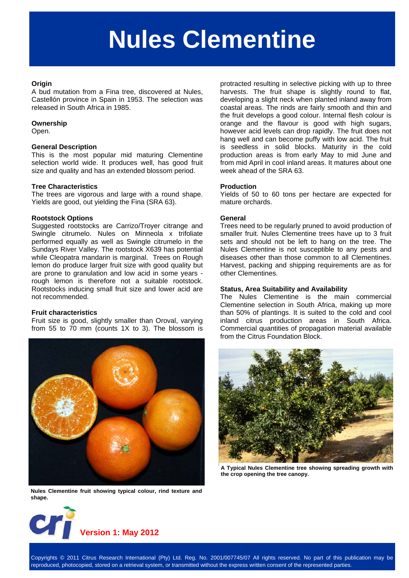# **Nules Clementine**

#### **Origin**

A bud mutation from a Fina tree, discovered at Nules, Castellón province in Spain in 1953. The selection was released in South Africa in 1985.

#### **Ownership**

Open.

### **General Description**

This is the most popular mid maturing Clementine selection world wide. It produces well, has good fruit size and quality and has an extended blossom period.

### **Tree Characteristics**

The trees are vigorous and large with a round shape. Yields are good, out yielding the Fina (SRA 63).

#### **Rootstock Options**

Suggested rootstocks are Carrizo/Troyer citrange and Swingle citrumelo. Nules on Minneola x trifoliate performed equally as well as Swingle citrumelo in the Sundays River Valley. The rootstock X639 has potential while Cleopatra mandarin is marginal. Trees on Rough lemon do produce larger fruit size with good quality but are prone to granulation and low acid in some years rough lemon is therefore not a suitable rootstock. Rootstocks inducing small fruit size and lower acid are not recommended.

#### **Fruit characteristics**

Fruit size is good, slightly smaller than Oroval, varying from 55 to 70 mm (counts 1X to 3). The blossom is



**Nules Clementine fruit showing typical colour, rind texture and shape.** 



protracted resulting in selective picking with up to three harvests. The fruit shape is slightly round to flat, developing a slight neck when planted inland away from coastal areas. The rinds are fairly smooth and thin and the fruit develops a good colour. Internal flesh colour is orange and the flavour is good with high sugars, however acid levels can drop rapidly. The fruit does not hang well and can become puffy with low acid. The fruit is seedless in solid blocks. Maturity in the cold production areas is from early May to mid June and from mid April in cool inland areas. It matures about one week ahead of the SRA 63.

#### **Production**

Yields of 50 to 60 tons per hectare are expected for mature orchards.

#### **General**

Trees need to be regularly pruned to avoid production of smaller fruit. Nules Clementine trees have up to 3 fruit sets and should not be left to hang on the tree. The Nules Clementine is not susceptible to any pests and diseases other than those common to all Clementines. Harvest, packing and shipping requirements are as for other Clementines.

#### **Status, Area Suitability and Availability**

The Nules Clementine is the main commercial Clementine selection in South Africa, making up more than 50% of plantings. It is suited to the cold and cool inland citrus production areas in South Africa. Commercial quantities of propagation material available from the Citrus Foundation Block.



**A Typical Nules Clementine tree showing spreading growth with the crop opening the tree canopy.**